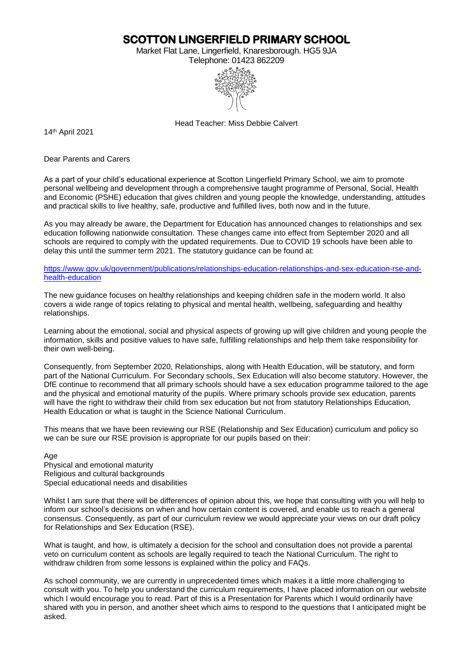**SCOTTON LINGERFIELD PRIMARY SCHOOL** 

Market Flat Lane, Lingerfield, Knaresborough. HG5 9JA



Head Teacher: Miss Debbie Calvert

14 th April 2021

Dear Parents and Carers

As a part of your child's educational experience at Scotton Lingerfield Primary School, we aim to promote personal wellbeing and development through a comprehensive taught programme of Personal, Social, Health and Economic (PSHE) education that gives children and young people the knowledge, understanding, attitudes and practical skills to live healthy, safe, productive and fulfilled lives, both now and in the future.

As you may already be aware, the Department for Education has announced changes to relationships and sex education following nationwide consultation. These changes came into effect from September 2020 and all schools are required to comply with the updated requirements. Due to COVID 19 schools have been able to delay this until the summer term 2021. The statutory guidance can be found at:

[https://www.gov.uk/government/publications/relationships-education-relationships-and-sex-education-rse-and](https://www.gov.uk/government/publications/relationships-education-relationships-and-sex-education-rse-and-health-education)[health-education](https://www.gov.uk/government/publications/relationships-education-relationships-and-sex-education-rse-and-health-education)

The new guidance focuses on healthy relationships and keeping children safe in the modern world. It also covers a wide range of topics relating to physical and mental health, wellbeing, safeguarding and healthy relationships.

Learning about the emotional, social and physical aspects of growing up will give children and young people the information, skills and positive values to have safe, fulfilling relationships and help them take responsibility for their own well-being.

Consequently, from September 2020, Relationships, along with Health Education, will be statutory, and form part of the National Curriculum. For Secondary schools, Sex Education will also become statutory. However, the DfE continue to recommend that all primary schools should have a sex education programme tailored to the age and the physical and emotional maturity of the pupils. Where primary schools provide sex education, parents will have the right to withdraw their child from sex education but not from statutory Relationships Education, Health Education or what is taught in the Science National Curriculum.

This means that we have been reviewing our RSE (Relationship and Sex Education) curriculum and policy so we can be sure our RSE provision is appropriate for our pupils based on their:

Age

Physical and emotional maturity Religious and cultural backgrounds Special educational needs and disabilities

Whilst I am sure that there will be differences of opinion about this, we hope that consulting with you will help to inform our school's decisions on when and how certain content is covered, and enable us to reach a general consensus. Consequently, as part of our curriculum review we would appreciate your views on our draft policy for Relationships and Sex Education (RSE).

What is taught, and how, is ultimately a decision for the school and consultation does not provide a parental veto on curriculum content as schools are legally required to teach the National Curriculum. The right to withdraw children from some lessons is explained within the policy and FAQs.

As school community, we are currently in unprecedented times which makes it a little more challenging to consult with you. To help you understand the curriculum requirements, I have placed information on our website which I would encourage you to read. Part of this is a Presentation for Parents which I would ordinarily have shared with you in person, and another sheet which aims to respond to the questions that I anticipated might be asked.